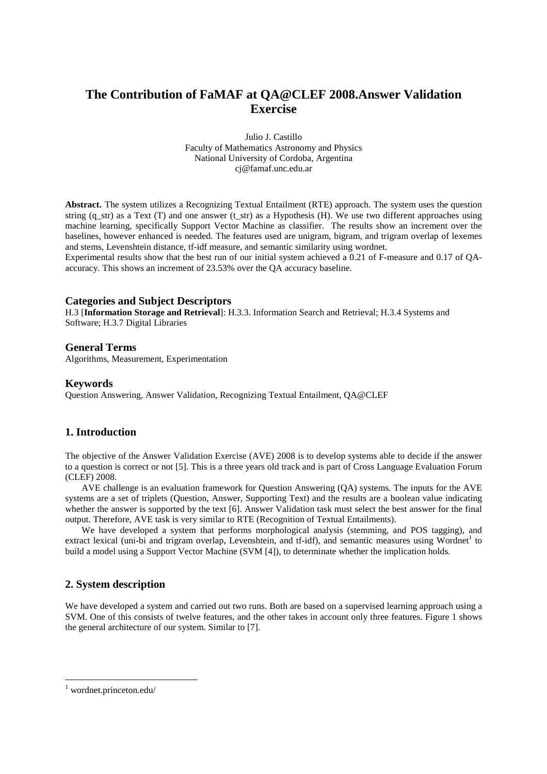# **The Contribution of FaMAF at QA@CLEF 2008.Answer Validation Exercise**

Julio J. Castillo Faculty of Mathematics Astronomy and Physics National University of Cordoba, Argentina cj@famaf.unc.edu.ar

**Abstract.** The system utilizes a Recognizing Textual Entailment (RTE) approach. The system uses the question string (q\_str) as a Text (T) and one answer (t\_str) as a Hypothesis (H). We use two different approaches using machine learning, specifically Support Vector Machine as classifier. The results show an increment over the baselines, however enhanced is needed. The features used are unigram, bigram, and trigram overlap of lexemes and stems, Levenshtein distance, tf-idf measure, and semantic similarity using wordnet.

Experimental results show that the best run of our initial system achieved a 0.21 of F-measure and 0.17 of QAaccuracy. This shows an increment of 23.53% over the QA accuracy baseline.

## **Categories and Subject Descriptors**

H.3 [**Information Storage and Retrieval**]: H.3.3. Information Search and Retrieval; H.3.4 Systems and Software; H.3.7 Digital Libraries

#### **General Terms**

Algorithms, Measurement, Experimentation

#### **Keywords**

Question Answering, Answer Validation, Recognizing Textual Entailment, QA@CLEF

## **1. Introduction**

The objective of the Answer Validation Exercise (AVE) 2008 is to develop systems able to decide if the answer to a question is correct or not [5]. This is a three years old track and is part of Cross Language Evaluation Forum (CLEF) 2008.

 AVE challenge is an evaluation framework for Question Answering (QA) systems. The inputs for the AVE systems are a set of triplets (Question, Answer, Supporting Text) and the results are a boolean value indicating whether the answer is supported by the text [6]. Answer Validation task must select the best answer for the final output. Therefore, AVE task is very similar to RTE (Recognition of Textual Entailments).

 We have developed a system that performs morphological analysis (stemming, and POS tagging), and extract lexical (uni-bi and trigram overlap, Levenshtein, and tf-idf), and semantic measures using Wordnet<sup>1</sup> to build a model using a Support Vector Machine (SVM [4]), to determinate whether the implication holds.

## **2. System description**

We have developed a system and carried out two runs. Both are based on a supervised learning approach using a SVM. One of this consists of twelve features, and the other takes in account only three features. Figure 1 shows the general architecture of our system. Similar to [7].

 $\overline{a}$ 

<sup>1</sup> wordnet.princeton.edu/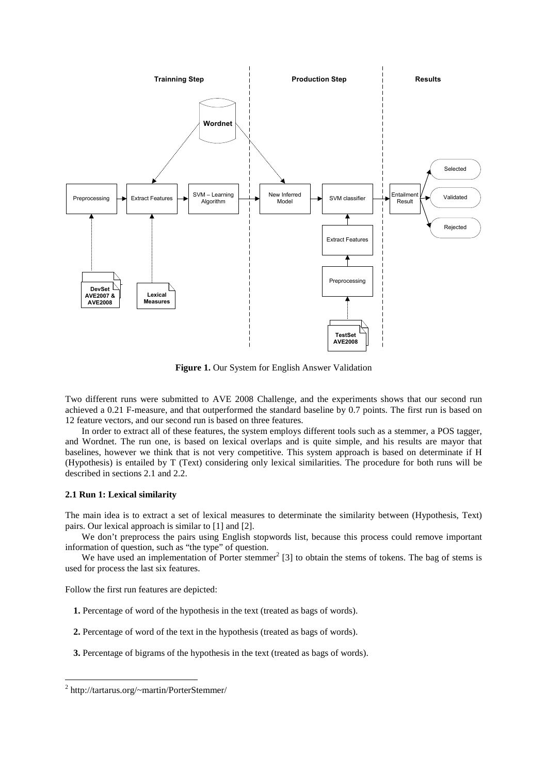

**Figure 1.** Our System for English Answer Validation

Two different runs were submitted to AVE 2008 Challenge, and the experiments shows that our second run achieved a 0.21 F-measure, and that outperformed the standard baseline by 0.7 points. The first run is based on 12 feature vectors, and our second run is based on three features.

 In order to extract all of these features, the system employs different tools such as a stemmer, a POS tagger, and Wordnet. The run one, is based on lexical overlaps and is quite simple, and his results are mayor that baselines, however we think that is not very competitive. This system approach is based on determinate if H (Hypothesis) is entailed by T (Text) considering only lexical similarities. The procedure for both runs will be described in sections 2.1 and 2.2.

#### **2.1 Run 1: Lexical similarity**

The main idea is to extract a set of lexical measures to determinate the similarity between (Hypothesis, Text) pairs. Our lexical approach is similar to [1] and [2].

We don't preprocess the pairs using English stopwords list, because this process could remove important information of question, such as "the type" of question.

We have used an implementation of Porter stemmer<sup>2</sup> [3] to obtain the stems of tokens. The bag of stems is used for process the last six features.

Follow the first run features are depicted:

- **1.** Percentage of word of the hypothesis in the text (treated as bags of words).
- **2.** Percentage of word of the text in the hypothesis (treated as bags of words).
- **3.** Percentage of bigrams of the hypothesis in the text (treated as bags of words).

 $\overline{a}$ 

<sup>&</sup>lt;sup>2</sup> http://tartarus.org/~martin/PorterStemmer/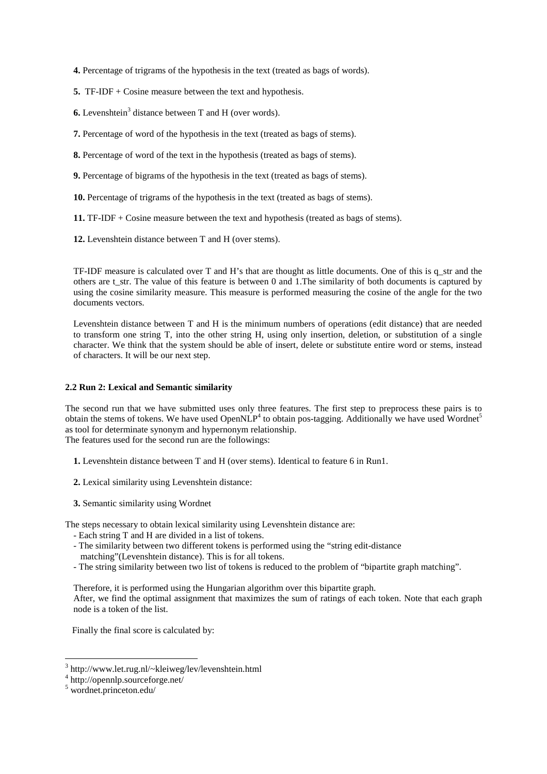**4.** Percentage of trigrams of the hypothesis in the text (treated as bags of words).

 **5.** TF-IDF + Cosine measure between the text and hypothesis.

**6.** Levenshtein<sup>3</sup> distance between T and H (over words).

 **7.** Percentage of word of the hypothesis in the text (treated as bags of stems).

 **8.** Percentage of word of the text in the hypothesis (treated as bags of stems).

 **9.** Percentage of bigrams of the hypothesis in the text (treated as bags of stems).

 **10.** Percentage of trigrams of the hypothesis in the text (treated as bags of stems).

 **11.** TF-IDF + Cosine measure between the text and hypothesis (treated as bags of stems).

 **12.** Levenshtein distance between T and H (over stems).

TF-IDF measure is calculated over T and H's that are thought as little documents. One of this is q\_str and the others are t\_str. The value of this feature is between 0 and 1.The similarity of both documents is captured by using the cosine similarity measure. This measure is performed measuring the cosine of the angle for the two documents vectors.

Levenshtein distance between T and H is the minimum numbers of operations (edit distance) that are needed to transform one string T, into the other string H, using only insertion, deletion, or substitution of a single character. We think that the system should be able of insert, delete or substitute entire word or stems, instead of characters. It will be our next step.

## **2.2 Run 2: Lexical and Semantic similarity**

The second run that we have submitted uses only three features. The first step to preprocess these pairs is to obtain the stems of tokens. We have used OpenNLP<sup>4</sup> to obtain pos-tagging. Additionally we have used Wordnet<sup>5</sup> as tool for determinate synonym and hypernonym relationship. The features used for the second run are the followings:

 **1.** Levenshtein distance between T and H (over stems). Identical to feature 6 in Run1.

 **2.** Lexical similarity using Levenshtein distance:

**3.** Semantic similarity using Wordnet

The steps necessary to obtain lexical similarity using Levenshtein distance are:

- Each string T and H are divided in a list of tokens.
- The similarity between two different tokens is performed using the "string edit-distance
- matching"(Levenshtein distance). This is for all tokens.
- The string similarity between two list of tokens is reduced to the problem of "bipartite graph matching".

Therefore, it is performed using the Hungarian algorithm over this bipartite graph. After, we find the optimal assignment that maximizes the sum of ratings of each token. Note that each graph node is a token of the list.

Finally the final score is calculated by:

 3 http://www.let.rug.nl/~kleiweg/lev/levenshtein.html

<sup>4</sup> http://opennlp.sourceforge.net/

<sup>5</sup> wordnet.princeton.edu/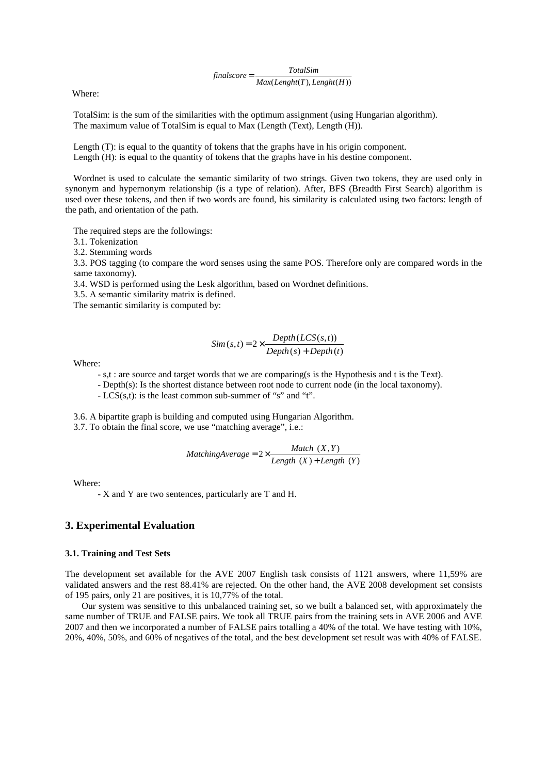$finalscore = \frac{TotalSim}{Max(Length(T), Length(H))}$ 

Where:

 TotalSim: is the sum of the similarities with the optimum assignment (using Hungarian algorithm). The maximum value of TotalSim is equal to Max (Length (Text), Length (H)).

Length (T): is equal to the quantity of tokens that the graphs have in his origin component. Length (H): is equal to the quantity of tokens that the graphs have in his destine component.

Wordnet is used to calculate the semantic similarity of two strings. Given two tokens, they are used only in synonym and hypernonym relationship (is a type of relation). After, BFS (Breadth First Search) algorithm is used over these tokens, and then if two words are found, his similarity is calculated using two factors: length of the path, and orientation of the path.

The required steps are the followings:

3.1. Tokenization

3.2. Stemming words

3.3. POS tagging (to compare the word senses using the same POS. Therefore only are compared words in the same taxonomy).

3.4. WSD is performed using the Lesk algorithm, based on Wordnet definitions.

3.5. A semantic similarity matrix is defined.

The semantic similarity is computed by:

$$
Sim(s, t) = 2 \times \frac{Depth(LCS(s, t))}{Depth(s) + Depth(t)}
$$

Where:

- s,t : are source and target words that we are comparing(s is the Hypothesis and t is the Text).

- Depth(s): Is the shortest distance between root node to current node (in the local taxonomy).

- LCS(s,t): is the least common sub-summer of "s" and "t".

 3.6. A bipartite graph is building and computed using Hungarian Algorithm. 3.7. To obtain the final score, we use "matching average", i.e.:

> $(X)$  + Length  $(Y)$  $2 \times \frac{Match(X, Y)}{Length(X) + Length(Y)}$  $\textit{Match } (X, Y)$ <br> $\textit{Match } (X, Y)$ <br> $\textit{Length } (X)$  + Length

Where:

- X and Y are two sentences, particularly are T and H.

## **3. Experimental Evaluation**

#### **3.1. Training and Test Sets**

The development set available for the AVE 2007 English task consists of 1121 answers, where 11,59% are validated answers and the rest 88.41% are rejected. On the other hand, the AVE 2008 development set consists of 195 pairs, only 21 are positives, it is 10,77% of the total.

 Our system was sensitive to this unbalanced training set, so we built a balanced set, with approximately the same number of TRUE and FALSE pairs. We took all TRUE pairs from the training sets in AVE 2006 and AVE 2007 and then we incorporated a number of FALSE pairs totalling a 40% of the total. We have testing with 10%, 20%, 40%, 50%, and 60% of negatives of the total, and the best development set result was with 40% of FALSE.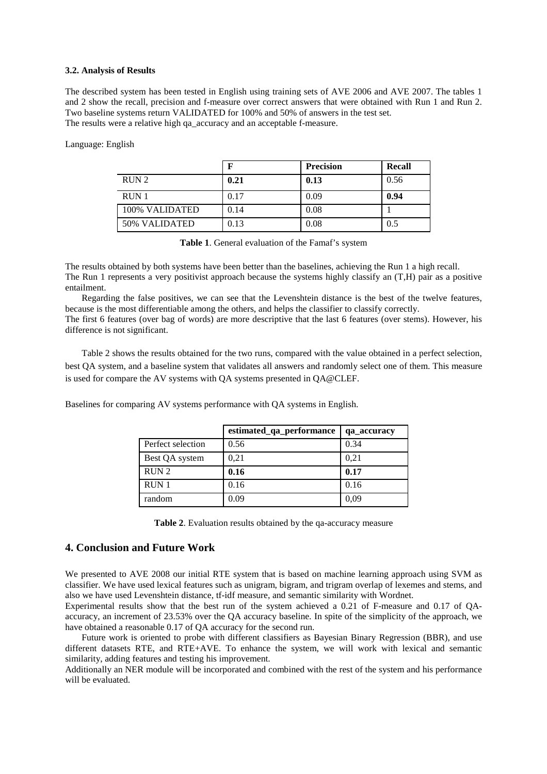#### **3.2. Analysis of Results**

The described system has been tested in English using training sets of AVE 2006 and AVE 2007. The tables 1 and 2 show the recall, precision and f-measure over correct answers that were obtained with Run 1 and Run 2. Two baseline systems return VALIDATED for 100% and 50% of answers in the test set. The results were a relative high qa\_accuracy and an acceptable f-measure.

Language: English

|                  | ю    | <b>Precision</b> | Recall |
|------------------|------|------------------|--------|
| RUN <sub>2</sub> | 0.21 | 0.13             | 0.56   |
| RUN <sub>1</sub> | 0.17 | 0.09             | 0.94   |
| 100% VALIDATED   | 0.14 | 0.08             |        |
| 50% VALIDATED    | 0.13 | 0.08             | 0.5    |

**Table 1**. General evaluation of the Famaf's system

The results obtained by both systems have been better than the baselines, achieving the Run 1 a high recall. The Run 1 represents a very positivist approach because the systems highly classify an (T,H) pair as a positive entailment.

 Regarding the false positives, we can see that the Levenshtein distance is the best of the twelve features, because is the most differentiable among the others, and helps the classifier to classify correctly.

The first 6 features (over bag of words) are more descriptive that the last 6 features (over stems). However, his difference is not significant.

 Table 2 shows the results obtained for the two runs, compared with the value obtained in a perfect selection, best QA system, and a baseline system that validates all answers and randomly select one of them. This measure is used for compare the AV systems with QA systems presented in QA@CLEF.

Baselines for comparing AV systems performance with QA systems in English.

|                   | estimated_qa_performance | qa_accuracy |
|-------------------|--------------------------|-------------|
| Perfect selection | 0.56                     | 0.34        |
| Best QA system    | 0.21                     | 0.21        |
| RUN <sub>2</sub>  | 0.16                     | 0.17        |
| $RUN$ 1           | 0.16                     | 0.16        |
| random            | 0.09                     | 0,09        |

**Table 2**. Evaluation results obtained by the qa-accuracy measure

# **4. Conclusion and Future Work**

We presented to AVE 2008 our initial RTE system that is based on machine learning approach using SVM as classifier. We have used lexical features such as unigram, bigram, and trigram overlap of lexemes and stems, and also we have used Levenshtein distance, tf-idf measure, and semantic similarity with Wordnet.

Experimental results show that the best run of the system achieved a 0.21 of F-measure and 0.17 of QAaccuracy, an increment of 23.53% over the QA accuracy baseline. In spite of the simplicity of the approach, we have obtained a reasonable 0.17 of QA accuracy for the second run.

 Future work is oriented to probe with different classifiers as Bayesian Binary Regression (BBR), and use different datasets RTE, and RTE+AVE. To enhance the system, we will work with lexical and semantic similarity, adding features and testing his improvement.

Additionally an NER module will be incorporated and combined with the rest of the system and his performance will be evaluated.